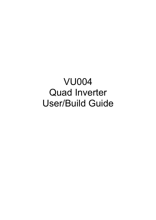VU004 Quad Inverter User/Build Guide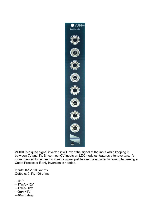

VU004 is a quad signal inverter, it will invert the signal at the input while keeping it between 0V and 1V. Since most CV inputs on LZX modules features attenuverters, it's more intented to be used to invert a signal just before the encoder for example, freeing a Cadet Processor if only inversion is needed.

Inputs: 0-1V, 100kohms Outputs: 0-1V, 499 ohms

- $-4HP$
- 17mA +12V
- 17mA -12V
- $-$  0mA +5V
- 40mm deep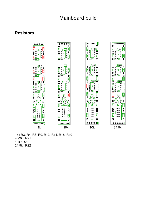#### **Resistors**



1k : R3, R4, R8, R9, R13, R14, R18, R19 4.99k : R21 10k : R23 24.9k : R22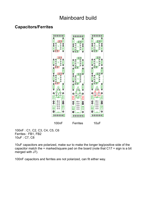### **Capacitors/Ferrites**



100nF : C1, C2, C3, C4, C5, C6 Ferrites : FB1, FB2 10uF : C7, C8

10uF capacitors are polarized, make sur to make the longer leg/positive side of the capacitor match the + marked/square pad on the board (note that C17 + sign is a bit merged with J7).

100nF capacitors and ferrites are not polarized, can fit either way.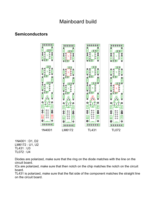### **Semiconductors**



1N4001 : D1, D2 LM6172 : U1, U2 TL431 : U3 TL072 : U4

Diodes are polarized, make sure that the ring on the diode matches with the line on the circuit board.

ICs are polarized, make sure that then notch on the chip matches the notch on the circuit board.

TL431 is polarized, make sure that the flat side of the component matches the straight line on the circuit board.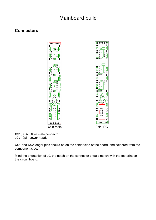#### **Connectors**





XS1, XS2 : 6pin male connector J9 : 10pin power header

XS1 and XS2 longer pins should be on the solder side of the board, and soldered from the component side.

Mind the orientation of J9, the notch on the connector should match with the footprint on the circuit board.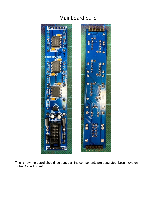

This is how the board should look once all the components are populated. Let's move on to the Control Board.